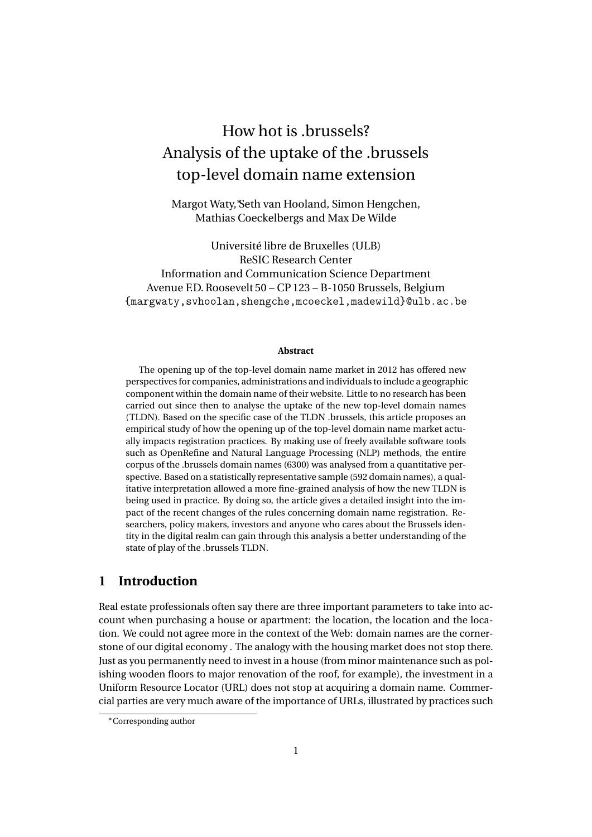# How hot is .brussels? Analysis of the uptake of the .brussels top-level domain name extension

Margot Waty,∗Seth van Hooland, Simon Hengchen, Mathias Coeckelbergs and Max De Wilde

Université libre de Bruxelles (ULB) ReSIC Research Center Information and Communication Science Department Avenue F.D. Roosevelt 50 – CP 123 – B-1050 Brussels, Belgium {margwaty,svhoolan,shengche,mcoeckel,madewild}@ulb.ac.be

#### **Abstract**

The opening up of the top-level domain name market in 2012 has offered new perspectives for companies, administrations and individuals to include a geographic component within the domain name of their website. Little to no research has been carried out since then to analyse the uptake of the new top-level domain names (TLDN). Based on the specific case of the TLDN .brussels, this article proposes an empirical study of how the opening up of the top-level domain name market actually impacts registration practices. By making use of freely available software tools such as OpenRefine and Natural Language Processing (NLP) methods, the entire corpus of the .brussels domain names (6300) was analysed from a quantitative perspective. Based on a statistically representative sample (592 domain names), a qualitative interpretation allowed a more fine-grained analysis of how the new TLDN is being used in practice. By doing so, the article gives a detailed insight into the impact of the recent changes of the rules concerning domain name registration. Researchers, policy makers, investors and anyone who cares about the Brussels identity in the digital realm can gain through this analysis a better understanding of the state of play of the .brussels TLDN.

# **1 Introduction**

Real estate professionals often say there are three important parameters to take into account when purchasing a house or apartment: the location, the location and the location. We could not agree more in the context of the Web: domain names are the cornerstone of our digital economy . The analogy with the housing market does not stop there. Just as you permanently need to invest in a house (from minor maintenance such as polishing wooden floors to major renovation of the roof, for example), the investment in a Uniform Resource Locator (URL) does not stop at acquiring a domain name. Commercial parties are very much aware of the importance of URLs, illustrated by practices such

<sup>∗</sup>Corresponding author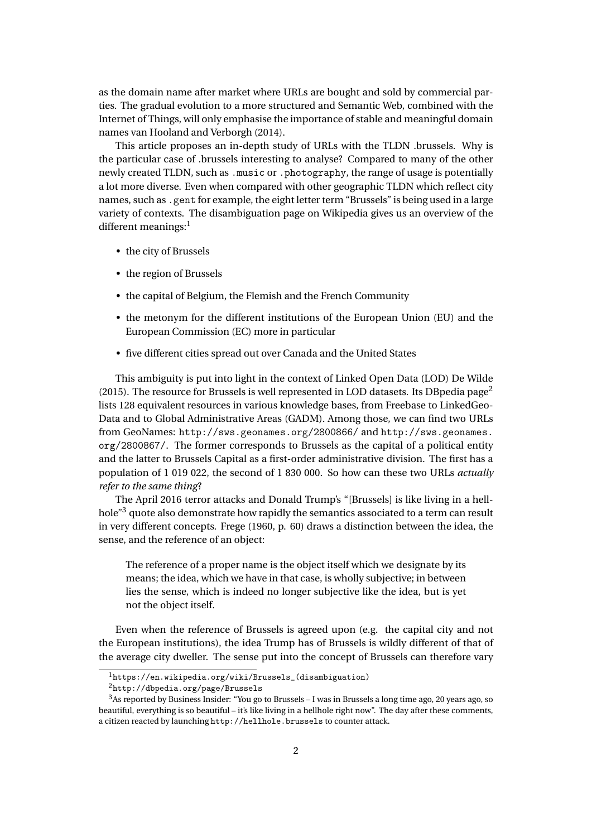as the domain name after market where URLs are bought and sold by commercial parties. The gradual evolution to a more structured and Semantic Web, combined with the Internet of Things, will only emphasise the importance of stable and meaningful domain names [van Hooland and Verborgh](#page-14-0) [\(2014\)](#page-14-0).

This article proposes an in-depth study of URLs with the TLDN .brussels. Why is the particular case of .brussels interesting to analyse? Compared to many of the other newly created TLDN, such as .music or .photography, the range of usage is potentially a lot more diverse. Even when compared with other geographic TLDN which reflect city names, such as .gent for example, the eight letter term "Brussels" is being used in a large variety of contexts. The disambiguation page on Wikipedia gives us an overview of the different meanings: $<sup>1</sup>$  $<sup>1</sup>$  $<sup>1</sup>$ </sup>

- the city of Brussels
- the region of Brussels
- the capital of Belgium, the Flemish and the French Community
- the metonym for the different institutions of the European Union (EU) and the European Commission (EC) more in particular
- five different cities spread out over Canada and the United States

This ambiguity is put into light in the context of Linked Open Data (LOD) [De Wilde](#page-13-0) [\(2015\)](#page-13-0). The resource for Brussels is well represented in LOD datasets. Its DB pedia page<sup>[2](#page-1-1)</sup> lists 128 equivalent resources in various knowledge bases, from Freebase to LinkedGeo-Data and to Global Administrative Areas (GADM). Among those, we can find two URLs from GeoNames: <http://sws.geonames.org/2800866/> and [http://sws.geonames.](http://sws.geonames.org/2800867/) [org/2800867/](http://sws.geonames.org/2800867/). The former corresponds to Brussels as the capital of a political entity and the latter to Brussels Capital as a first-order administrative division. The first has a population of 1 019 022, the second of 1 830 000. So how can these two URLs *actually refer to the same thing*?

The April 2016 terror attacks and Donald Trump's "[Brussels] is like living in a hell-hole"<sup>[3](#page-1-2)</sup> quote also demonstrate how rapidly the semantics associated to a term can result in very different concepts. [Frege](#page-13-1) [\(1960,](#page-13-1) p. 60) draws a distinction between the idea, the sense, and the reference of an object:

The reference of a proper name is the object itself which we designate by its means; the idea, which we have in that case, is wholly subjective; in between lies the sense, which is indeed no longer subjective like the idea, but is yet not the object itself.

Even when the reference of Brussels is agreed upon (e.g. the capital city and not the European institutions), the idea Trump has of Brussels is wildly different of that of the average city dweller. The sense put into the concept of Brussels can therefore vary

<span id="page-1-0"></span><sup>1</sup>[https://en.wikipedia.org/wiki/Brussels\\_\(disambiguation\)](https://en.wikipedia.org/wiki/Brussels_(disambiguation))

<span id="page-1-2"></span><span id="page-1-1"></span><sup>2</sup><http://dbpedia.org/page/Brussels>

<sup>3</sup>As reported by [Business Insider:](http://uk.businessinsider.com/donald-trump-brussels-muslim-ban-hellhole-2016-1) "You go to Brussels – I was in Brussels a long time ago, 20 years ago, so beautiful, everything is so beautiful – it's like living in a hellhole right now". The day after these comments, a citizen reacted by launching <http://hellhole.brussels> to counter attack.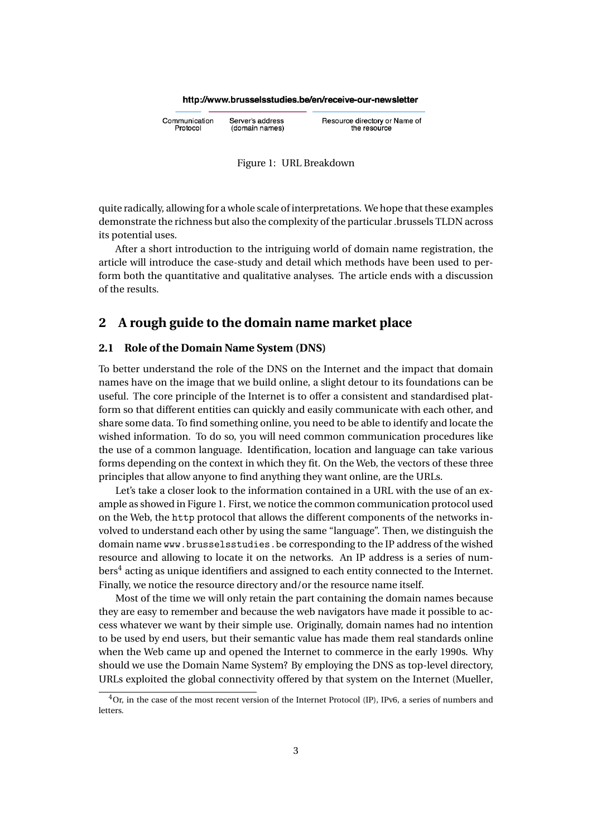#### http://www.brusselsstudies.be/en/receive-our-newsletter

Communication Server's address Protocol (domain names)

<span id="page-2-0"></span>Resource directory or Name of the resource



quite radically, allowing for a whole scale of interpretations. We hope that these examples demonstrate the richness but also the complexity of the particular .brussels TLDN across its potential uses.

After a short introduction to the intriguing world of domain name registration, the article will introduce the case-study and detail which methods have been used to perform both the quantitative and qualitative analyses. The article ends with a discussion of the results.

# **2 A rough guide to the domain name market place**

#### **2.1 Role of the Domain Name System (DNS)**

To better understand the role of the DNS on the Internet and the impact that domain names have on the image that we build online, a slight detour to its foundations can be useful. The core principle of the Internet is to offer a consistent and standardised platform so that different entities can quickly and easily communicate with each other, and share some data. To find something online, you need to be able to identify and locate the wished information. To do so, you will need common communication procedures like the use of a common language. Identification, location and language can take various forms depending on the context in which they fit. On the Web, the vectors of these three principles that allow anyone to find anything they want online, are the URLs.

Let's take a closer look to the information contained in a URL with the use of an example as showed in Figure [1.](#page-2-0) First, we notice the common communication protocol used on the Web, the http protocol that allows the different components of the networks involved to understand each other by using the same "language". Then, we distinguish the domain name <www.brusselsstudies.be> corresponding to the IP address of the wished resource and allowing to locate it on the networks. An IP address is a series of num- $\mathrm{bers}^4$  $\mathrm{bers}^4$  acting as unique identifiers and assigned to each entity connected to the Internet. Finally, we notice the resource directory and/or the resource name itself.

Most of the time we will only retain the part containing the domain names because they are easy to remember and because the web navigators have made it possible to access whatever we want by their simple use. Originally, domain names had no intention to be used by end users, but their semantic value has made them real standards online when the Web came up and opened the Internet to commerce in the early 1990s. Why should we use the Domain Name System? By employing the DNS as top-level directory, URLs exploited the global connectivity offered by that system on the Internet [\(Mueller,](#page-13-2)

<span id="page-2-1"></span><sup>4</sup>Or, in the case of the most recent version of the Internet Protocol (IP), IPv6, a series of numbers and letters.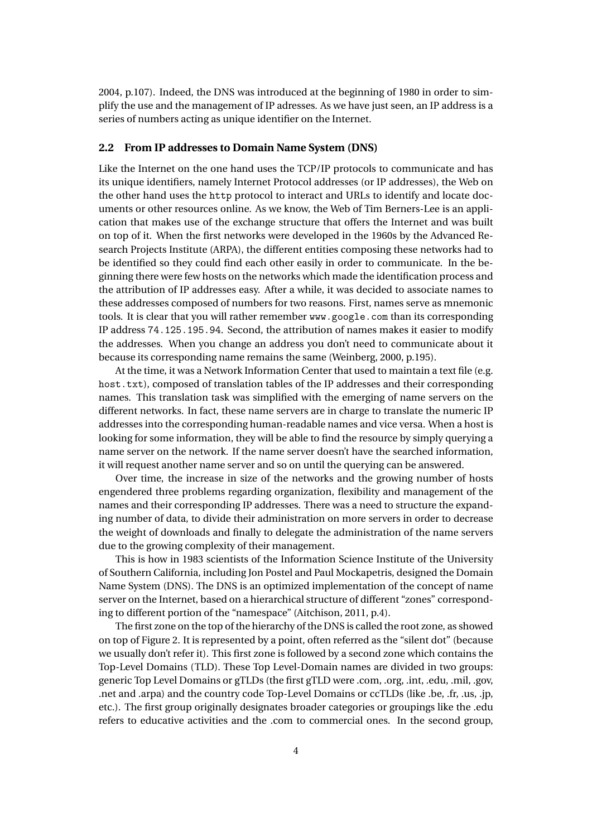[2004,](#page-13-2) p.107). Indeed, the DNS was introduced at the beginning of 1980 in order to simplify the use and the management of IP adresses. As we have just seen, an IP address is a series of numbers acting as unique identifier on the Internet.

## **2.2 From IP addresses to Domain Name System (DNS)**

Like the Internet on the one hand uses the TCP/IP protocols to communicate and has its unique identifiers, namely Internet Protocol addresses (or IP addresses), the Web on the other hand uses the http protocol to interact and URLs to identify and locate documents or other resources online. As we know, the Web of Tim Berners-Lee is an application that makes use of the exchange structure that offers the Internet and was built on top of it. When the first networks were developed in the 1960s by the Advanced Research Projects Institute (ARPA), the different entities composing these networks had to be identified so they could find each other easily in order to communicate. In the beginning there were few hosts on the networks which made the identification process and the attribution of IP addresses easy. After a while, it was decided to associate names to these addresses composed of numbers for two reasons. First, names serve as mnemonic tools. It is clear that you will rather remember <www.google.com> than its corresponding IP address <74.125.195.94>. Second, the attribution of names makes it easier to modify the addresses. When you change an address you don't need to communicate about it because its corresponding name remains the same [\(Weinberg,](#page-14-1) [2000,](#page-14-1) p.195).

At the time, it was a Network Information Center that used to maintain a text file (e.g. host.txt), composed of translation tables of the IP addresses and their corresponding names. This translation task was simplified with the emerging of name servers on the different networks. In fact, these name servers are in charge to translate the numeric IP addresses into the corresponding human-readable names and vice versa. When a host is looking for some information, they will be able to find the resource by simply querying a name server on the network. If the name server doesn't have the searched information, it will request another name server and so on until the querying can be answered.

Over time, the increase in size of the networks and the growing number of hosts engendered three problems regarding organization, flexibility and management of the names and their corresponding IP addresses. There was a need to structure the expanding number of data, to divide their administration on more servers in order to decrease the weight of downloads and finally to delegate the administration of the name servers due to the growing complexity of their management.

This is how in 1983 scientists of the Information Science Institute of the University of Southern California, including Jon Postel and Paul Mockapetris, designed the Domain Name System (DNS). The DNS is an optimized implementation of the concept of name server on the Internet, based on a hierarchical structure of different "zones" corresponding to different portion of the "namespace" [\(Aitchison,](#page-13-3) [2011,](#page-13-3) p.4).

The first zone on the top of the hierarchy of the DNS is called the root zone, as showed on top of Figure [2.](#page-4-0) It is represented by a point, often referred as the "silent dot" (because we usually don't refer it). This first zone is followed by a second zone which contains the Top-Level Domains (TLD). These Top Level-Domain names are divided in two groups: generic Top Level Domains or gTLDs (the first gTLD were .com, .org, .int, .edu, .mil, .gov, .net and .arpa) and the country code Top-Level Domains or ccTLDs (like .be, .fr, .us, .jp, etc.). The first group originally designates broader categories or groupings like the .edu refers to educative activities and the .com to commercial ones. In the second group,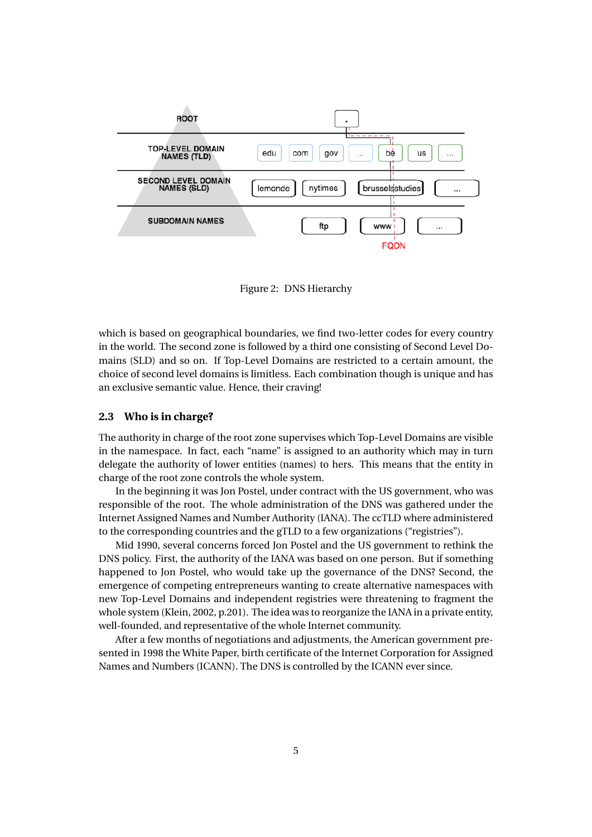

<span id="page-4-0"></span>Figure 2: DNS Hierarchy

which is based on geographical boundaries, we find two-letter codes for every country in the world. The second zone is followed by a third one consisting of Second Level Domains (SLD) and so on. If Top-Level Domains are restricted to a certain amount, the choice of second level domains is limitless. Each combination though is unique and has an exclusive semantic value. Hence, their craving!

#### **2.3 Who is in charge?**

The authority in charge of the root zone supervises which Top-Level Domains are visible in the namespace. In fact, each "name" is assigned to an authority which may in turn delegate the authority of lower entities (names) to hers. This means that the entity in charge of the root zone controls the whole system.

In the beginning it was Jon Postel, under contract with the US government, who was responsible of the root. The whole administration of the DNS was gathered under the Internet Assigned Names and Number Authority (IANA). The ccTLD where administered to the corresponding countries and the gTLD to a few organizations ("registries").

Mid 1990, several concerns forced Jon Postel and the US government to rethink the DNS policy. First, the authority of the IANA was based on one person. But if something happened to Jon Postel, who would take up the governance of the DNS? Second, the emergence of competing entrepreneurs wanting to create alternative namespaces with new Top-Level Domains and independent registries were threatening to fragment the whole system [\(Klein,](#page-13-4) [2002,](#page-13-4) p.201). The idea was to reorganize the IANA in a private entity, well-founded, and representative of the whole Internet community.

After a few months of negotiations and adjustments, the American government presented in 1998 the White Paper, birth certificate of the Internet Corporation for Assigned Names and Numbers (ICANN). The DNS is controlled by the ICANN ever since.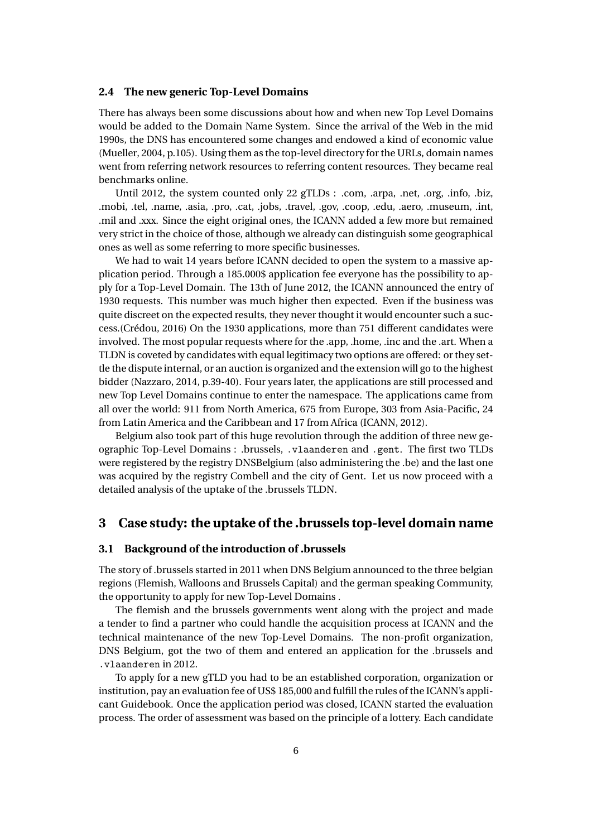#### **2.4 The new generic Top-Level Domains**

There has always been some discussions about how and when new Top Level Domains would be added to the Domain Name System. Since the arrival of the Web in the mid 1990s, the DNS has encountered some changes and endowed a kind of economic value [\(Mueller,](#page-13-2) [2004,](#page-13-2) p.105). Using them as the top-level directory for the URLs, domain names went from referring network resources to referring content resources. They became real benchmarks online.

Until 2012, the system counted only 22 gTLDs : .com, .arpa, .net, .org, .info, .biz, .mobi, .tel, .name, .asia, .pro, .cat, .jobs, .travel, .gov, .coop, .edu, .aero, .museum, .int, .mil and .xxx. Since the eight original ones, the ICANN added a few more but remained very strict in the choice of those, although we already can distinguish some geographical ones as well as some referring to more specific businesses.

We had to wait 14 years before ICANN decided to open the system to a massive application period. Through a 185.000\$ application fee everyone has the possibility to apply for a Top-Level Domain. The 13th of June 2012, the ICANN announced the entry of 1930 requests. This number was much higher then expected. Even if the business was quite discreet on the expected results, they never thought it would encounter such a success.[\(Crédou,](#page-13-5) [2016\)](#page-13-5) On the 1930 applications, more than 751 different candidates were involved. The most popular requests where for the .app, .home, .inc and the .art. When a TLDN is coveted by candidates with equal legitimacy two options are offered: or they settle the dispute internal, or an auction is organized and the extension will go to the highest bidder [\(Nazzaro,](#page-14-2) [2014,](#page-14-2) p.39-40). Four years later, the applications are still processed and new Top Level Domains continue to enter the namespace. The applications came from all over the world: 911 from North America, 675 from Europe, 303 from Asia-Pacific, 24 from Latin America and the Caribbean and 17 from Africa [\(ICANN,](#page-13-6) [2012\)](#page-13-6).

Belgium also took part of this huge revolution through the addition of three new geographic Top-Level Domains : .brussels, .vlaanderen and .gent. The first two TLDs were registered by the registry DNSBelgium (also administering the .be) and the last one was acquired by the registry Combell and the city of Gent. Let us now proceed with a detailed analysis of the uptake of the .brussels TLDN.

## **3 Case study: the uptake of the .brussels top-level domain name**

## **3.1 Background of the introduction of .brussels**

The story of .brussels started in 2011 when DNS Belgium announced to the three belgian regions (Flemish, Walloons and Brussels Capital) and the german speaking Community, the opportunity to apply for new Top-Level Domains .

The flemish and the brussels governments went along with the project and made a tender to find a partner who could handle the acquisition process at ICANN and the technical maintenance of the new Top-Level Domains. The non-profit organization, DNS Belgium, got the two of them and entered an application for the .brussels and .vlaanderen in 2012.

To apply for a new gTLD you had to be an established corporation, organization or institution, pay an evaluation fee of US\$ 185,000 and fulfill the rules of the ICANN's applicant Guidebook. Once the application period was closed, ICANN started the evaluation process. The order of assessment was based on the principle of a lottery. Each candidate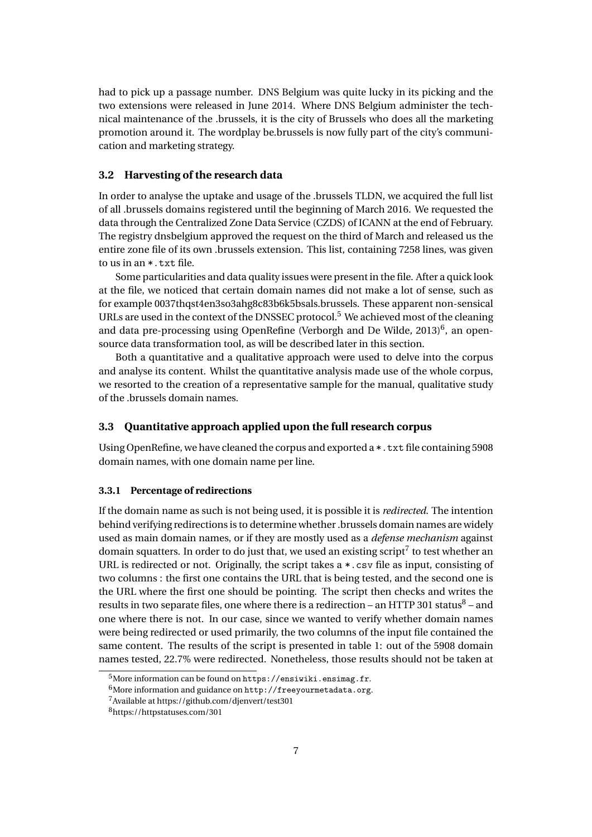had to pick up a passage number. DNS Belgium was quite lucky in its picking and the two extensions were released in June 2014. Where DNS Belgium administer the technical maintenance of the .brussels, it is the city of Brussels who does all the marketing promotion around it. The wordplay be.brussels is now fully part of the city's communication and marketing strategy.

#### **3.2 Harvesting of the research data**

In order to analyse the uptake and usage of the .brussels TLDN, we acquired the full list of all .brussels domains registered until the beginning of March 2016. We requested the data through the Centralized Zone Data Service (CZDS) of ICANN at the end of February. The registry dnsbelgium approved the request on the third of March and released us the entire zone file of its own .brussels extension. This list, containing 7258 lines, was given to us in an \*.txt file.

Some particularities and data quality issues were present in the file. After a quick look at the file, we noticed that certain domain names did not make a lot of sense, such as for example 0037thqst4en3so3ahg8c83b6k5bsals.brussels. These apparent non-sensical URLs are used in the context of the DNSSEC protocol.[5](#page-6-0) We achieved most of the cleaning and data pre-processing using OpenRefine [\(Verborgh and De Wilde,](#page-14-3) [2013\)](#page-14-3)<sup>[6](#page-6-1)</sup>, an opensource data transformation tool, as will be described later in this section.

Both a quantitative and a qualitative approach were used to delve into the corpus and analyse its content. Whilst the quantitative analysis made use of the whole corpus, we resorted to the creation of a representative sample for the manual, qualitative study of the .brussels domain names.

#### **3.3 Quantitative approach applied upon the full research corpus**

Using OpenRefine, we have cleaned the corpus and exported a \*.txt file containing 5908 domain names, with one domain name per line.

#### **3.3.1 Percentage of redirections**

If the domain name as such is not being used, it is possible it is *redirected*. The intention behind verifying redirections is to determine whether .brussels domain names are widely used as main domain names, or if they are mostly used as a *defense mechanism* against domain squatters. In order to do just that, we used an existing script<sup>[7](#page-6-2)</sup> to test whether an URL is redirected or not. Originally, the script takes a \*.csv file as input, consisting of two columns : the first one contains the URL that is being tested, and the second one is the URL where the first one should be pointing. The script then checks and writes the results in two separate files, one where there is a redirection – an HTTP 301 status $^8$  $^8$  – and one where there is not. In our case, since we wanted to verify whether domain names were being redirected or used primarily, the two columns of the input file contained the same content. The results of the script is presented in table [1:](#page-7-0) out of the 5908 domain names tested, 22.7% were redirected. Nonetheless, those results should not be taken at

<span id="page-6-0"></span><sup>&</sup>lt;sup>5</sup>More information can be found on <https://ensiwiki.ensimag.fr>.

<span id="page-6-1"></span> $^6$ More information and guidance on  ${\tt http://freeyourmetadata.org}.$  ${\tt http://freeyourmetadata.org}.$  ${\tt http://freeyourmetadata.org}.$ 

<span id="page-6-2"></span> $\sqrt{7}$  Available at <https://github.com/djenvert/test301>

<span id="page-6-3"></span><sup>8</sup>https://httpstatuses.com/301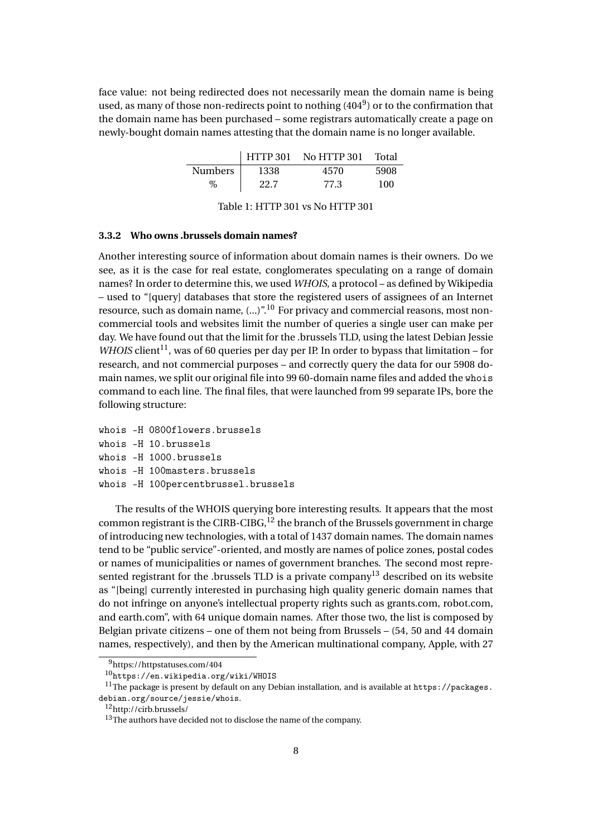face value: not being redirected does not necessarily mean the domain name is being used, as many of those non-redirects point to nothing  $(404^9)$  $(404^9)$  $(404^9)$  or to the confirmation that the domain name has been purchased – some registrars automatically create a page on newly-bought domain names attesting that the domain name is no longer available.

|                |      | HTTP 301 No HTTP 301 | Total |
|----------------|------|----------------------|-------|
| <b>Numbers</b> | 1338 | 4570                 | 5908  |
| %              | 22.7 | 77.3                 | 100   |

<span id="page-7-0"></span>Table 1: HTTP 301 vs No HTTP 301

## **3.3.2 Who owns .brussels domain names?**

Another interesting source of information about domain names is their owners. Do we see, as it is the case for real estate, conglomerates speculating on a range of domain names? In order to determine this, we used *WHOIS*, a protocol – as defined by Wikipedia – used to "[query] databases that store the registered users of assignees of an Internet resource, such as domain name,  $(...)^{n}$ <sup>[10](#page-7-2)</sup> For privacy and commercial reasons, most noncommercial tools and websites limit the number of queries a single user can make per day. We have found out that the limit for the .brussels TLD, using the latest Debian Jessie *WHOIS* client<sup>[11](#page-7-3)</sup>, was of 60 queries per day per IP. In order to bypass that limitation – for research, and not commercial purposes – and correctly query the data for our 5908 domain names, we split our original file into 99 60-domain name files and added the whois command to each line. The final files, that were launched from 99 separate IPs, bore the following structure:

```
whois -H 0800flowers.brussels
whois -H 10.brussels
whois -H 1000.brussels
whois -H 100masters.brussels
whois -H 100percentbrussel.brussels
```
The results of the WHOIS querying bore interesting results. It appears that the most common registrant is the CIRB-CIBG,  $12$  the branch of the Brussels government in charge of introducing new technologies, with a total of 1437 domain names. The domain names tend to be "public service"-oriented, and mostly are names of police zones, postal codes or names of municipalities or names of government branches. The second most represented registrant for the .brussels TLD is a private  $\text{compound}^{13}$  $\text{compound}^{13}$  $\text{compound}^{13}$  described on its website as "[being] currently interested in purchasing high quality generic domain names that do not infringe on anyone's intellectual property rights such as grants.com, robot.com, and earth.com", with 64 unique domain names. After those two, the list is composed by Belgian private citizens – one of them not being from Brussels – (54, 50 and 44 domain names, respectively), and then by the American multinational company, Apple, with 27

<span id="page-7-1"></span><sup>9</sup>https://httpstatuses.com/404

<span id="page-7-3"></span><span id="page-7-2"></span><sup>10</sup><https://en.wikipedia.org/wiki/WHOIS>

<sup>&</sup>lt;sup>11</sup>The package is present by default on any Debian installation, and is available at [https://packages.](https://packages.debian.org/source/jessie/whois) [debian.org/source/jessie/whois](https://packages.debian.org/source/jessie/whois).

<span id="page-7-4"></span><sup>12</sup><http://cirb.brussels/>

<span id="page-7-5"></span> $13$ The authors have decided not to disclose the name of the company.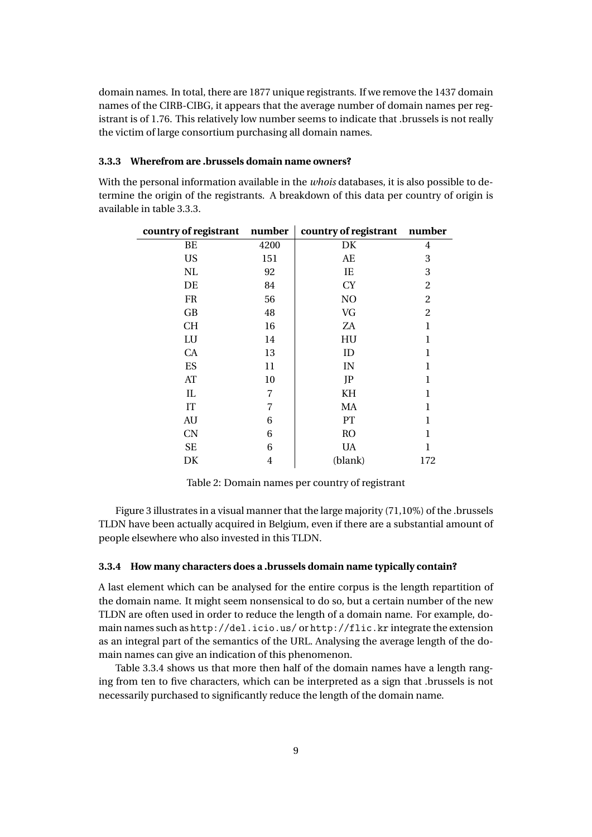domain names. In total, there are 1877 unique registrants. If we remove the 1437 domain names of the CIRB-CIBG, it appears that the average number of domain names per registrant is of 1.76. This relatively low number seems to indicate that .brussels is not really the victim of large consortium purchasing all domain names.

## <span id="page-8-0"></span>**3.3.3 Wherefrom are .brussels domain name owners?**

With the personal information available in the *whois* databases, it is also possible to determine the origin of the registrants. A breakdown of this data per country of origin is available in table [3.3.3.](#page-8-0)

| country of registrant number |      | country of registrant number |                |
|------------------------------|------|------------------------------|----------------|
| BE                           | 4200 | DK                           | 4              |
| <b>US</b>                    | 151  | AE                           | 3              |
| NL                           | 92   | IE                           | 3              |
| DE                           | 84   | <b>CY</b>                    | $\overline{2}$ |
| FR                           | 56   | N <sub>O</sub>               | $\overline{2}$ |
| GB                           | 48   | VG                           | $\overline{c}$ |
| СH                           | 16   | ZA                           | 1              |
| LU                           | 14   | HU                           | 1              |
| <b>CA</b>                    | 13   | ID                           | 1              |
| ES                           | 11   | IN                           | 1              |
| AT                           | 10   | JP                           | 1              |
| IL                           | 7    | KH                           | 1              |
| IT                           | 7    | MA                           | 1              |
| AU                           | 6    | PT                           | 1              |
| <b>CN</b>                    | 6    | <b>RO</b>                    | 1              |
| <b>SE</b>                    | 6    | <b>UA</b>                    | 1              |
| DK                           | 4    | (blank)                      | 172            |

Table 2: Domain names per country of registrant

Figure [3](#page-9-0) illustrates in a visual manner that the large majority (71,10%) of the .brussels TLDN have been actually acquired in Belgium, even if there are a substantial amount of people elsewhere who also invested in this TLDN.

#### <span id="page-8-1"></span>**3.3.4 How many characters does a .brussels domain name typically contain?**

A last element which can be analysed for the entire corpus is the length repartition of the domain name. It might seem nonsensical to do so, but a certain number of the new TLDN are often used in order to reduce the length of a domain name. For example, domain names such as <http://del.icio.us/> or <http://flic.kr> integrate the extension as an integral part of the semantics of the URL. Analysing the average length of the domain names can give an indication of this phenomenon.

Table [3.3.4](#page-8-1) shows us that more then half of the domain names have a length ranging from ten to five characters, which can be interpreted as a sign that .brussels is not necessarily purchased to significantly reduce the length of the domain name.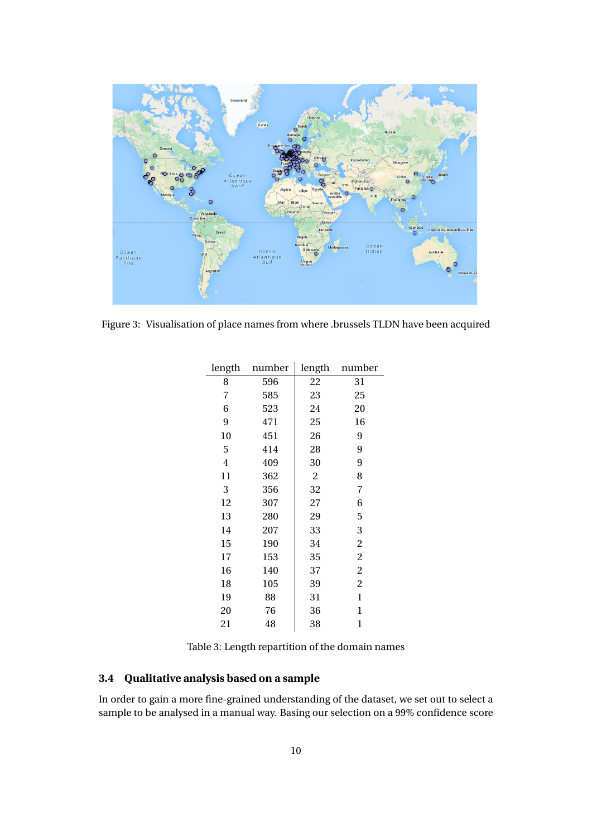

Figure 3: Visualisation of place names from where .brussels TLDN have been acquired

<span id="page-9-0"></span>

| 8<br>596<br>22<br>31<br>585<br>23<br>7<br>25<br>6<br>523<br>24<br>20<br>9<br>471<br>25<br>16<br>10<br>9<br>451<br>26<br>9<br>5<br>414<br>28<br>409<br>4<br>30<br>9<br>$\overline{c}$<br>8<br>11<br>362<br>3<br>356<br>32<br>7<br>12<br>307<br>27<br>6<br>29<br>5<br>13<br>280<br>207<br>33<br>14<br>3<br>190<br>34<br>$\overline{c}$<br>15<br>$\overline{c}$<br>17<br>153<br>35<br>2<br>16<br>140<br>37<br>18<br>105<br>39<br>2<br>31<br>19<br>88<br>1<br>20<br>76<br>36<br>1<br>21<br>48<br>38<br>1 | length | number | length | number |
|------------------------------------------------------------------------------------------------------------------------------------------------------------------------------------------------------------------------------------------------------------------------------------------------------------------------------------------------------------------------------------------------------------------------------------------------------------------------------------------------------|--------|--------|--------|--------|
|                                                                                                                                                                                                                                                                                                                                                                                                                                                                                                      |        |        |        |        |
|                                                                                                                                                                                                                                                                                                                                                                                                                                                                                                      |        |        |        |        |
|                                                                                                                                                                                                                                                                                                                                                                                                                                                                                                      |        |        |        |        |
|                                                                                                                                                                                                                                                                                                                                                                                                                                                                                                      |        |        |        |        |
|                                                                                                                                                                                                                                                                                                                                                                                                                                                                                                      |        |        |        |        |
|                                                                                                                                                                                                                                                                                                                                                                                                                                                                                                      |        |        |        |        |
|                                                                                                                                                                                                                                                                                                                                                                                                                                                                                                      |        |        |        |        |
|                                                                                                                                                                                                                                                                                                                                                                                                                                                                                                      |        |        |        |        |
|                                                                                                                                                                                                                                                                                                                                                                                                                                                                                                      |        |        |        |        |
|                                                                                                                                                                                                                                                                                                                                                                                                                                                                                                      |        |        |        |        |
|                                                                                                                                                                                                                                                                                                                                                                                                                                                                                                      |        |        |        |        |
|                                                                                                                                                                                                                                                                                                                                                                                                                                                                                                      |        |        |        |        |
|                                                                                                                                                                                                                                                                                                                                                                                                                                                                                                      |        |        |        |        |
|                                                                                                                                                                                                                                                                                                                                                                                                                                                                                                      |        |        |        |        |
|                                                                                                                                                                                                                                                                                                                                                                                                                                                                                                      |        |        |        |        |
|                                                                                                                                                                                                                                                                                                                                                                                                                                                                                                      |        |        |        |        |
|                                                                                                                                                                                                                                                                                                                                                                                                                                                                                                      |        |        |        |        |
|                                                                                                                                                                                                                                                                                                                                                                                                                                                                                                      |        |        |        |        |
|                                                                                                                                                                                                                                                                                                                                                                                                                                                                                                      |        |        |        |        |

Table 3: Length repartition of the domain names

# **3.4 Qualitative analysis based on a sample**

In order to gain a more fine-grained understanding of the dataset, we set out to select a sample to be analysed in a manual way. Basing our selection on a 99% confidence score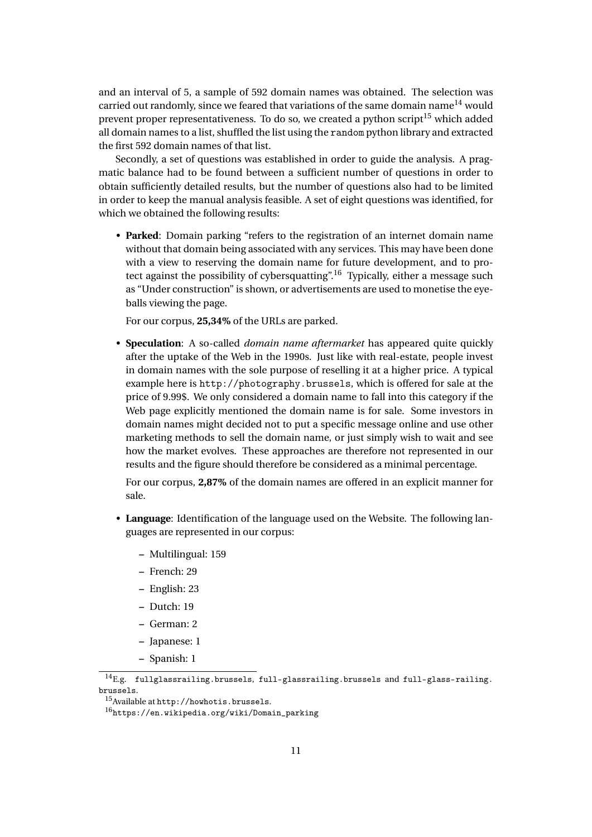and an interval of 5, a sample of 592 domain names was obtained. The selection was carried out randomly, since we feared that variations of the same domain name<sup>[14](#page-10-0)</sup> would prevent proper representativeness. To do so, we created a python script<sup>[15](#page-10-1)</sup> which added all domain names to a list, shuffled the list using the random python library and extracted the first 592 domain names of that list.

Secondly, a set of questions was established in order to guide the analysis. A pragmatic balance had to be found between a sufficient number of questions in order to obtain sufficiently detailed results, but the number of questions also had to be limited in order to keep the manual analysis feasible. A set of eight questions was identified, for which we obtained the following results:

• **Parked**: Domain parking "refers to the registration of an internet domain name without that domain being associated with any services. This may have been done with a view to reserving the domain name for future development, and to pro-tect against the possibility of cybersquatting".<sup>[16](#page-10-2)</sup> Typically, either a message such as "Under construction" is shown, or advertisements are used to monetise the eyeballs viewing the page.

For our corpus, **25,34%** of the URLs are parked.

• **Speculation**: A so-called *domain name aftermarket* has appeared quite quickly after the uptake of the Web in the 1990s. Just like with real-estate, people invest in domain names with the sole purpose of reselling it at a higher price. A typical example here is <http://photography.brussels>, which is offered for sale at the price of 9.99\$. We only considered a domain name to fall into this category if the Web page explicitly mentioned the domain name is for sale. Some investors in domain names might decided not to put a specific message online and use other marketing methods to sell the domain name, or just simply wish to wait and see how the market evolves. These approaches are therefore not represented in our results and the figure should therefore be considered as a minimal percentage.

For our corpus, **2,87%** of the domain names are offered in an explicit manner for sale.

- **Language**: Identification of the language used on the Website. The following languages are represented in our corpus:
	- **–** Multilingual: 159
	- **–** French: 29
	- **–** English: 23
	- **–** Dutch: 19
	- **–** German: 2
	- **–** Japanese: 1
	- **–** Spanish: 1

<span id="page-10-0"></span> $^{14}$ E.g. <fullglassrailing.brussels>, <full-glassrailing.brussels> and [full-glass-railing.](full-glass-railing.brussels) [brussels](full-glass-railing.brussels).

<span id="page-10-1"></span><sup>15</sup>Available at <http://howhotis.brussels>.

<span id="page-10-2"></span><sup>16</sup>[https://en.wikipedia.org/wiki/Domain\\_parking](https://en.wikipedia.org/wiki/Domain_parking)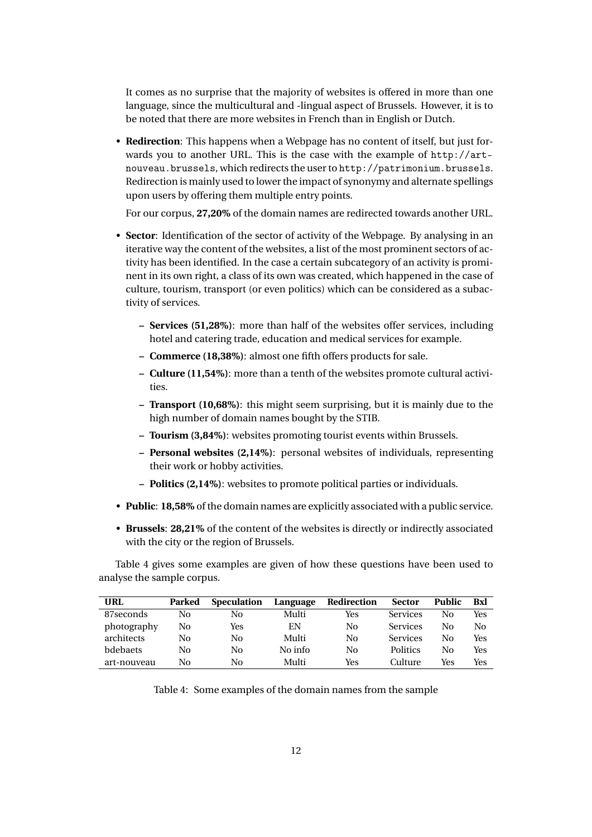It comes as no surprise that the majority of websites is offered in more than one language, since the multicultural and -lingual aspect of Brussels. However, it is to be noted that there are more websites in French than in English or Dutch.

• **Redirection**: This happens when a Webpage has no content of itself, but just forwards you to another URL. This is the case with the example of [http://art](http://art-nouveau.brussels)[nouveau.brussels](http://art-nouveau.brussels), which redirects the user to <http://patrimonium.brussels>. Redirection is mainly used to lower the impact of synonymy and alternate spellings upon users by offering them multiple entry points.

For our corpus, **27,20%** of the domain names are redirected towards another URL.

- **Sector**: Identification of the sector of activity of the Webpage. By analysing in an iterative way the content of the websites, a list of the most prominent sectors of activity has been identified. In the case a certain subcategory of an activity is prominent in its own right, a class of its own was created, which happened in the case of culture, tourism, transport (or even politics) which can be considered as a subactivity of services.
	- **– Services (51,28%)**: more than half of the websites offer services, including hotel and catering trade, education and medical services for example.
	- **– Commerce (18,38%)**: almost one fifth offers products for sale.
	- **– Culture (11,54%)**: more than a tenth of the websites promote cultural activities.
	- **– Transport (10,68%)**: this might seem surprising, but it is mainly due to the high number of domain names bought by the STIB.
	- **– Tourism (3,84%)**: websites promoting tourist events within Brussels.
	- **– Personal websites (2,14%)**: personal websites of individuals, representing their work or hobby activities.
	- **– Politics (2,14%)**: websites to promote political parties or individuals.
- **Public**: **18,58%** of the domain names are explicitly associated with a public service.
- **Brussels**: **28,21%** of the content of the websites is directly or indirectly associated with the city or the region of Brussels.

Table [4](#page-11-0) gives some examples are given of how these questions have been used to analyse the sample corpus.

| URL             | Parked | <b>Speculation</b> | Language | Redirection | <b>Sector</b>   | <b>Public</b> | Bxl |
|-----------------|--------|--------------------|----------|-------------|-----------------|---------------|-----|
| 87 seconds      | No     | No                 | Multi    | Yes         | <b>Services</b> | Nο            | Yes |
| photography     | No     | Yes                | EN       | No          | <b>Services</b> | Nο            | No  |
| architects      | No     | No                 | Multi    | No          | <b>Services</b> | Nο            | Yes |
| <b>bdebaets</b> | No     | No                 | No info  | No          | <b>Politics</b> | Nο            | Yes |
| art-nouveau     | No     | No                 | Multi    | Yes         | Culture         | Yes           | Yes |

<span id="page-11-0"></span>Table 4: Some examples of the domain names from the sample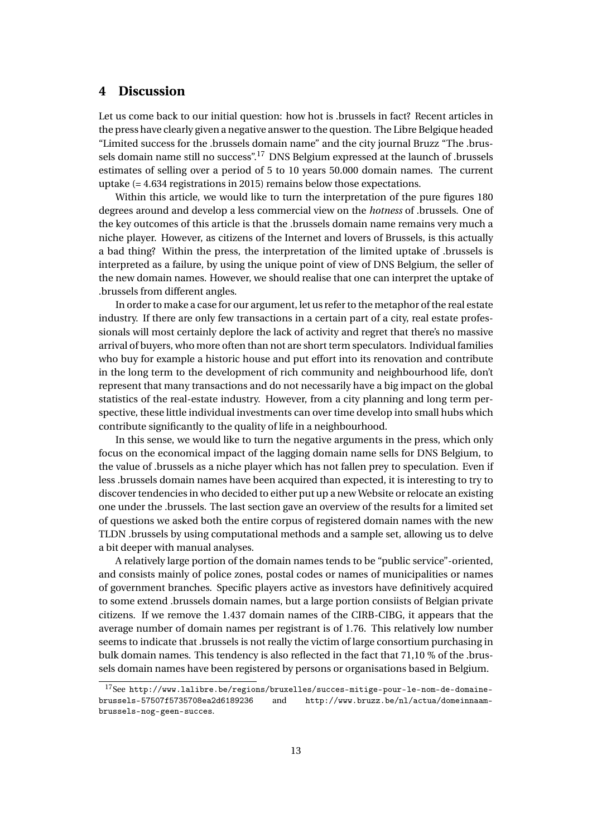# **4 Discussion**

Let us come back to our initial question: how hot is .brussels in fact? Recent articles in the press have clearly given a negative answer to the question. The Libre Belgique headed "Limited success for the .brussels domain name" and the city journal Bruzz "The .brussels domain name still no success".[17](#page-12-0) DNS Belgium expressed at the launch of .brussels estimates of selling over a period of 5 to 10 years 50.000 domain names. The current uptake (= 4.634 registrations in 2015) remains below those expectations.

Within this article, we would like to turn the interpretation of the pure figures 180 degrees around and develop a less commercial view on the *hotness* of .brussels. One of the key outcomes of this article is that the .brussels domain name remains very much a niche player. However, as citizens of the Internet and lovers of Brussels, is this actually a bad thing? Within the press, the interpretation of the limited uptake of .brussels is interpreted as a failure, by using the unique point of view of DNS Belgium, the seller of the new domain names. However, we should realise that one can interpret the uptake of .brussels from different angles.

In order to make a case for our argument, let us refer to the metaphor of the real estate industry. If there are only few transactions in a certain part of a city, real estate professionals will most certainly deplore the lack of activity and regret that there's no massive arrival of buyers, who more often than not are short term speculators. Individual families who buy for example a historic house and put effort into its renovation and contribute in the long term to the development of rich community and neighbourhood life, don't represent that many transactions and do not necessarily have a big impact on the global statistics of the real-estate industry. However, from a city planning and long term perspective, these little individual investments can over time develop into small hubs which contribute significantly to the quality of life in a neighbourhood.

In this sense, we would like to turn the negative arguments in the press, which only focus on the economical impact of the lagging domain name sells for DNS Belgium, to the value of .brussels as a niche player which has not fallen prey to speculation. Even if less .brussels domain names have been acquired than expected, it is interesting to try to discover tendencies in who decided to either put up a new Website or relocate an existing one under the .brussels. The last section gave an overview of the results for a limited set of questions we asked both the entire corpus of registered domain names with the new TLDN .brussels by using computational methods and a sample set, allowing us to delve a bit deeper with manual analyses.

A relatively large portion of the domain names tends to be "public service"-oriented, and consists mainly of police zones, postal codes or names of municipalities or names of government branches. Specific players active as investors have definitively acquired to some extend .brussels domain names, but a large portion consiists of Belgian private citizens. If we remove the 1.437 domain names of the CIRB-CIBG, it appears that the average number of domain names per registrant is of 1.76. This relatively low number seems to indicate that .brussels is not really the victim of large consortium purchasing in bulk domain names. This tendency is also reflected in the fact that 71,10 % of the .brussels domain names have been registered by persons or organisations based in Belgium.

<span id="page-12-0"></span><sup>17</sup>See [http://www.lalibre.be/regions/bruxelles/succes-mitige-pour-le-nom-de-domaine](http://www.lalibre.be/regions/bruxelles/succes-mitige-pour-le-nom-de-domaine-brussels-57507f5735708ea2d6189236)[brussels-57507f5735708ea2d6189236](http://www.lalibre.be/regions/bruxelles/succes-mitige-pour-le-nom-de-domaine-brussels-57507f5735708ea2d6189236) and [http://www.bruzz.be/nl/actua/domeinnaam](http://www.bruzz.be/nl/actua/domeinnaam-brussels-nog-geen-succes)[brussels-nog-geen-succes](http://www.bruzz.be/nl/actua/domeinnaam-brussels-nog-geen-succes).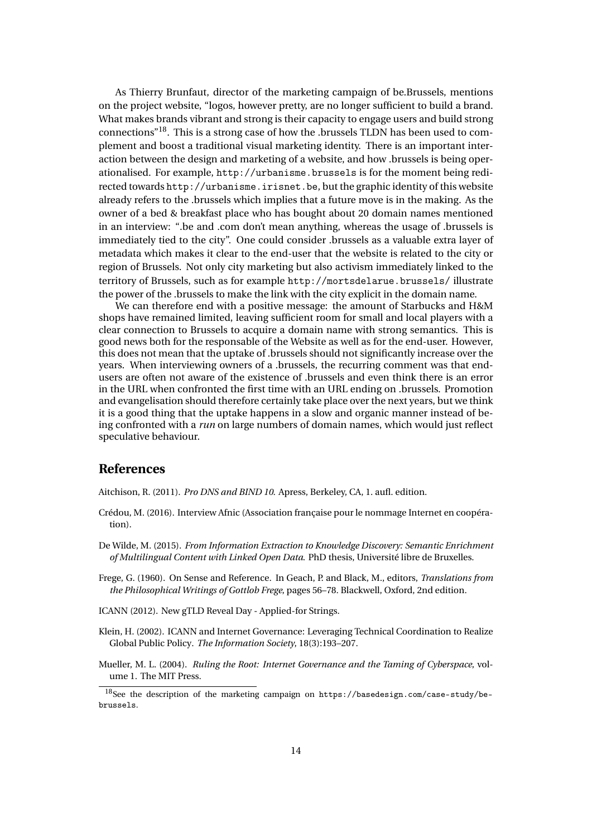As Thierry Brunfaut, director of the marketing campaign of be.Brussels, mentions on the project website, "logos, however pretty, are no longer sufficient to build a brand. What makes brands vibrant and strong is their capacity to engage users and build strong connections"[18](#page-13-7). This is a strong case of how the .brussels TLDN has been used to complement and boost a traditional visual marketing identity. There is an important interaction between the design and marketing of a website, and how .brussels is being operationalised. For example, <http://urbanisme.brussels> is for the moment being redirected towards <http://urbanisme.irisnet.be>, but the graphic identity of this website already refers to the .brussels which implies that a future move is in the making. As the owner of a bed & breakfast place who has bought about 20 domain names mentioned in an interview: ".be and .com don't mean anything, whereas the usage of .brussels is immediately tied to the city". One could consider .brussels as a valuable extra layer of metadata which makes it clear to the end-user that the website is related to the city or region of Brussels. Not only city marketing but also activism immediately linked to the territory of Brussels, such as for example <http://mortsdelarue.brussels/> illustrate the power of the .brussels to make the link with the city explicit in the domain name.

We can therefore end with a positive message: the amount of Starbucks and H&M shops have remained limited, leaving sufficient room for small and local players with a clear connection to Brussels to acquire a domain name with strong semantics. This is good news both for the responsable of the Website as well as for the end-user. However, this does not mean that the uptake of .brussels should not significantly increase over the years. When interviewing owners of a .brussels, the recurring comment was that endusers are often not aware of the existence of .brussels and even think there is an error in the URL when confronted the first time with an URL ending on .brussels. Promotion and evangelisation should therefore certainly take place over the next years, but we think it is a good thing that the uptake happens in a slow and organic manner instead of being confronted with a *run* on large numbers of domain names, which would just reflect speculative behaviour.

## **References**

<span id="page-13-3"></span>Aitchison, R. (2011). *Pro DNS and BIND 10*. Apress, Berkeley, CA, 1. aufl. edition.

- <span id="page-13-5"></span>Crédou, M. (2016). Interview Afnic (Association française pour le nommage Internet en coopération).
- <span id="page-13-0"></span>De Wilde, M. (2015). *From Information Extraction to Knowledge Discovery: Semantic Enrichment of Multilingual Content with Linked Open Data*. PhD thesis, Université libre de Bruxelles.
- <span id="page-13-1"></span>Frege, G. (1960). On Sense and Reference. In Geach, P. and Black, M., editors, *Translations from the Philosophical Writings of Gottlob Frege*, pages 56–78. Blackwell, Oxford, 2nd edition.
- <span id="page-13-6"></span>ICANN (2012). New gTLD Reveal Day - Applied-for Strings.
- <span id="page-13-4"></span>Klein, H. (2002). ICANN and Internet Governance: Leveraging Technical Coordination to Realize Global Public Policy. *The Information Society*, 18(3):193–207.
- <span id="page-13-2"></span>Mueller, M. L. (2004). *Ruling the Root: Internet Governance and the Taming of Cyberspace*, volume 1. The MIT Press.

<span id="page-13-7"></span><sup>18</sup>See the description of the marketing campaign on [https://basedesign.com/case-study/be](https://basedesign.com/case-study/be-brussels)[brussels](https://basedesign.com/case-study/be-brussels).